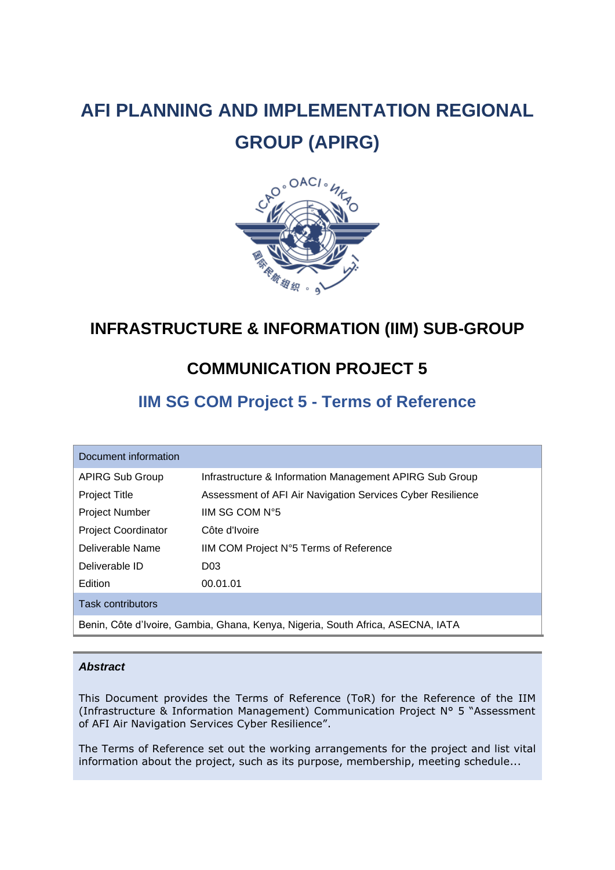# **AFI PLANNING AND IMPLEMENTATION REGIONAL GROUP (APIRG)**



## **INFRASTRUCTURE & INFORMATION (IIM) SUB-GROUP**

## **COMMUNICATION PROJECT 5**

## **IIM SG COM Project 5 - Terms of Reference**

| Document information                                                            |                                                            |  |  |  |
|---------------------------------------------------------------------------------|------------------------------------------------------------|--|--|--|
| <b>APIRG Sub Group</b>                                                          | Infrastructure & Information Management APIRG Sub Group    |  |  |  |
| <b>Project Title</b>                                                            | Assessment of AFI Air Navigation Services Cyber Resilience |  |  |  |
| <b>Project Number</b>                                                           | IIM SG COM N°5                                             |  |  |  |
| <b>Project Coordinator</b>                                                      | Côte d'Ivoire                                              |  |  |  |
| Deliverable Name                                                                | IIM COM Project N°5 Terms of Reference                     |  |  |  |
| Deliverable ID                                                                  | D <sub>03</sub>                                            |  |  |  |
| Edition                                                                         | 00.01.01                                                   |  |  |  |
| <b>Task contributors</b>                                                        |                                                            |  |  |  |
| Benin, Côte d'Ivoire, Gambia, Ghana, Kenya, Nigeria, South Africa, ASECNA, IATA |                                                            |  |  |  |

#### *Abstract*

This Document provides the Terms of Reference (ToR) for the Reference of the IIM (Infrastructure & Information Management) Communication Project N° 5 "Assessment of AFI Air Navigation Services Cyber Resilience".

The Terms of Reference set out the working arrangements for the project and list vital information about the project, such as its purpose, membership, meeting schedule...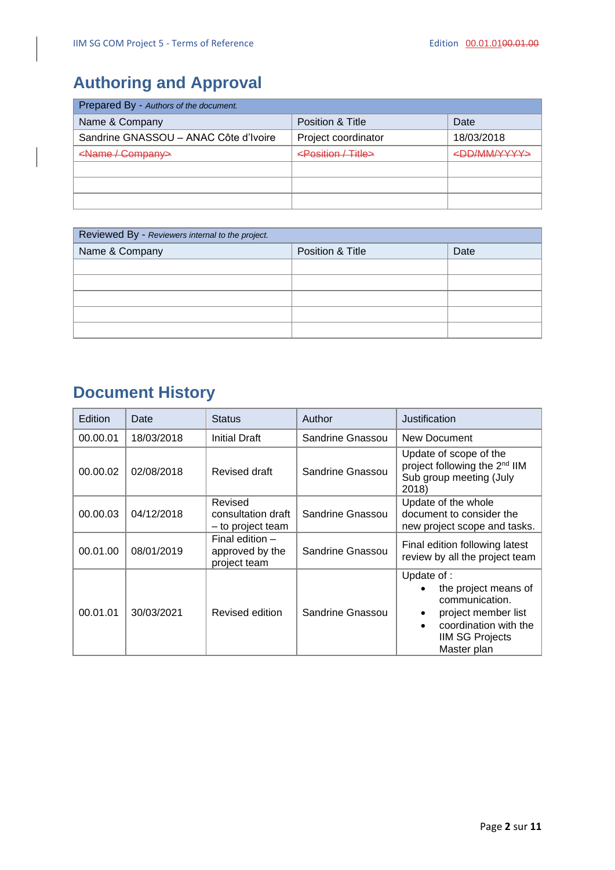## <span id="page-1-0"></span>**Authoring and Approval**

| Prepared By - Authors of the document. |                                |                         |  |  |
|----------------------------------------|--------------------------------|-------------------------|--|--|
| Name & Company                         | Position & Title               | Date                    |  |  |
| Sandrine GNASSOU - ANAC Côte d'Ivoire  | Project coordinator            | 18/03/2018              |  |  |
| <name company=""></name>               | <position title=""></position> | <dd mm="" yyyy=""></dd> |  |  |
|                                        |                                |                         |  |  |
|                                        |                                |                         |  |  |
|                                        |                                |                         |  |  |

| Reviewed By - Reviewers internal to the project. |                  |      |  |
|--------------------------------------------------|------------------|------|--|
| Name & Company                                   | Position & Title | Date |  |
|                                                  |                  |      |  |
|                                                  |                  |      |  |
|                                                  |                  |      |  |
|                                                  |                  |      |  |
|                                                  |                  |      |  |

## **Document History**

| Edition  | Date       | <b>Status</b>                                        | Author           | Justification                                                                                                                                               |
|----------|------------|------------------------------------------------------|------------------|-------------------------------------------------------------------------------------------------------------------------------------------------------------|
| 00.00.01 | 18/03/2018 | <b>Initial Draft</b>                                 | Sandrine Gnassou | New Document                                                                                                                                                |
| 00.00.02 | 02/08/2018 | Revised draft                                        | Sandrine Gnassou | Update of scope of the<br>project following the 2 <sup>nd</sup> IIM<br>Sub group meeting (July<br>2018)                                                     |
| 00.00.03 | 04/12/2018 | Revised<br>consultation draft<br>- to project team   | Sandrine Gnassou | Update of the whole<br>document to consider the<br>new project scope and tasks.                                                                             |
| 00.01.00 | 08/01/2019 | Final edition $-$<br>approved by the<br>project team | Sandrine Gnassou | Final edition following latest<br>review by all the project team                                                                                            |
| 00.01.01 | 30/03/2021 | Revised edition                                      | Sandrine Gnassou | Update of :<br>the project means of<br>communication.<br>project member list<br>coordination with the<br>$\bullet$<br><b>IIM SG Projects</b><br>Master plan |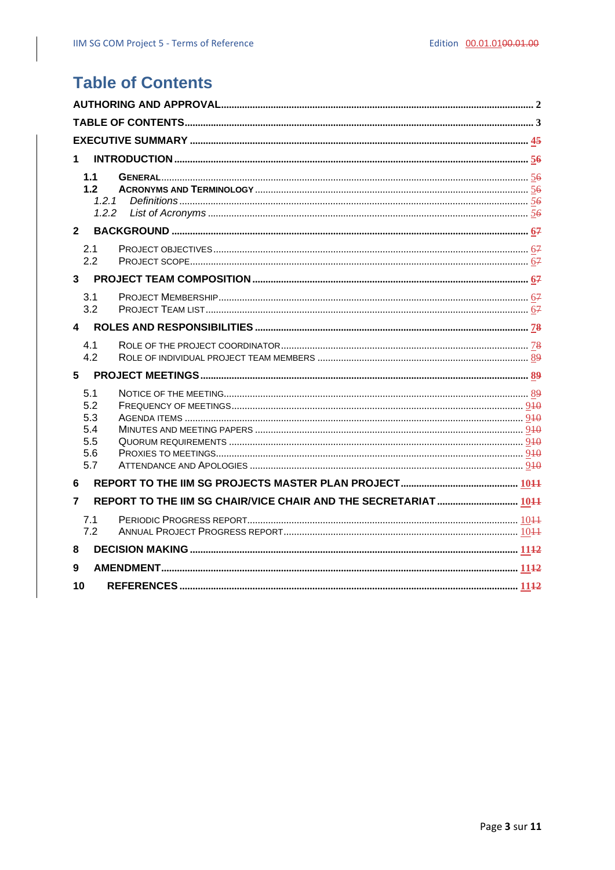## <span id="page-2-0"></span>**Table of Contents**

| $\mathbf 1$    |                                                                 |  |  |  |  |
|----------------|-----------------------------------------------------------------|--|--|--|--|
|                |                                                                 |  |  |  |  |
| 1.1<br>1.2     |                                                                 |  |  |  |  |
|                | 1.2.1                                                           |  |  |  |  |
|                | 1.2.2                                                           |  |  |  |  |
| $\mathbf{2}$   |                                                                 |  |  |  |  |
| 2.1            |                                                                 |  |  |  |  |
| 2.2            |                                                                 |  |  |  |  |
| $\mathbf{3}$   |                                                                 |  |  |  |  |
| 3.1            |                                                                 |  |  |  |  |
| 3.2            |                                                                 |  |  |  |  |
| $\overline{4}$ |                                                                 |  |  |  |  |
|                |                                                                 |  |  |  |  |
| 4.1<br>4.2     |                                                                 |  |  |  |  |
|                |                                                                 |  |  |  |  |
|                |                                                                 |  |  |  |  |
| 5.1<br>5.2     |                                                                 |  |  |  |  |
| 5.3            |                                                                 |  |  |  |  |
| 5.4            |                                                                 |  |  |  |  |
| 5.5            |                                                                 |  |  |  |  |
| 5.6<br>5.7     |                                                                 |  |  |  |  |
|                |                                                                 |  |  |  |  |
| 6              |                                                                 |  |  |  |  |
| $\overline{7}$ | REPORT TO THE IIM SG CHAIR/VICE CHAIR AND THE SECRETARIAT  1011 |  |  |  |  |
| 7.1            |                                                                 |  |  |  |  |
| 7.2            |                                                                 |  |  |  |  |
| 8              |                                                                 |  |  |  |  |
| 9              |                                                                 |  |  |  |  |
| 10             |                                                                 |  |  |  |  |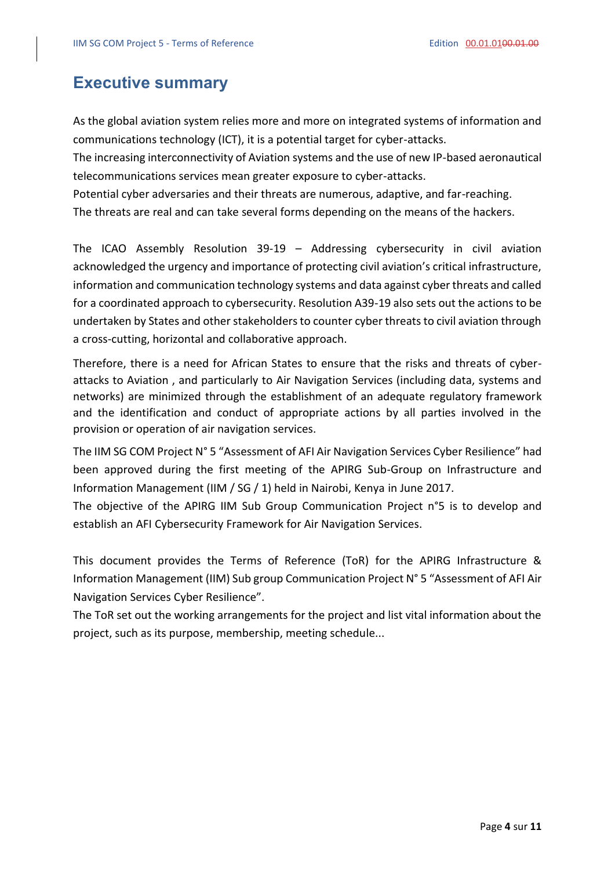## <span id="page-3-0"></span>**Executive summary**

As the global aviation system relies more and more on integrated systems of information and communications technology (ICT), it is a potential target for cyber-attacks.

The increasing interconnectivity of Aviation systems and the use of new IP-based aeronautical telecommunications services mean greater exposure to cyber-attacks.

Potential cyber adversaries and their threats are numerous, adaptive, and far-reaching.

The threats are real and can take several forms depending on the means of the hackers.

The ICAO Assembly Resolution 39-19 – Addressing cybersecurity in civil aviation acknowledged the urgency and importance of protecting civil aviation's critical infrastructure, information and communication technology systems and data against cyber threats and called for a coordinated approach to cybersecurity. Resolution A39-19 also sets out the actions to be undertaken by States and other stakeholders to counter cyber threats to civil aviation through a cross-cutting, horizontal and collaborative approach.

Therefore, there is a need for African States to ensure that the risks and threats of cyberattacks to Aviation , and particularly to Air Navigation Services (including data, systems and networks) are minimized through the establishment of an adequate regulatory framework and the identification and conduct of appropriate actions by all parties involved in the provision or operation of air navigation services.

The IIM SG COM Project N° 5 "Assessment of AFI Air Navigation Services Cyber Resilience" had been approved during the first meeting of the APIRG Sub-Group on Infrastructure and Information Management (IIM / SG / 1) held in Nairobi, Kenya in June 2017.

The objective of the APIRG IIM Sub Group Communication Project n°5 is to develop and establish an AFI Cybersecurity Framework for Air Navigation Services.

This document provides the Terms of Reference (ToR) for the APIRG Infrastructure & Information Management (IIM) Sub group Communication Project N° 5 "Assessment of AFI Air Navigation Services Cyber Resilience".

The ToR set out the working arrangements for the project and list vital information about the project, such as its purpose, membership, meeting schedule...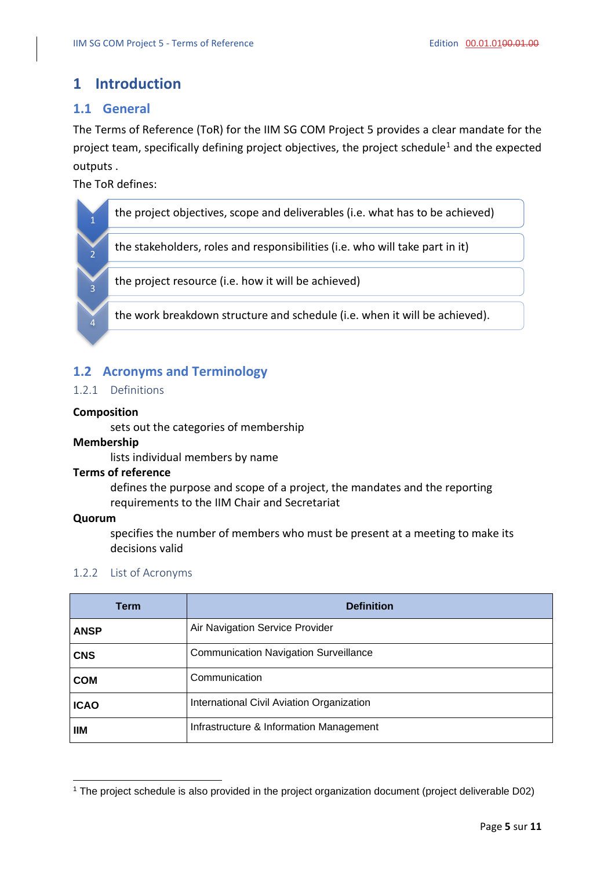### <span id="page-4-0"></span>**1 Introduction**

#### <span id="page-4-1"></span>**1.1 General**

The Terms of Reference (ToR) for the IIM SG COM Project 5 provides a clear mandate for the project team, specifically defining project objectives, the project schedule<sup>1</sup> and the expected outputs .

The ToR defines:



### <span id="page-4-2"></span>**1.2 Acronyms and Terminology**

#### <span id="page-4-3"></span>1.2.1 Definitions

#### **Composition**

sets out the categories of membership

#### **Membership**

lists individual members by name

#### **Terms of reference**

defines the purpose and scope of a project, the mandates and the reporting requirements to the IIM Chair and Secretariat

#### **Quorum**

specifies the number of members who must be present at a meeting to make its decisions valid

#### <span id="page-4-4"></span>1.2.2 List of Acronyms

| <b>Term</b> | <b>Definition</b>                            |
|-------------|----------------------------------------------|
| <b>ANSP</b> | Air Navigation Service Provider              |
| <b>CNS</b>  | <b>Communication Navigation Surveillance</b> |
| <b>COM</b>  | Communication                                |
| <b>ICAO</b> | International Civil Aviation Organization    |
| ШM          | Infrastructure & Information Management      |

<sup>1</sup> The project schedule is also provided in the project organization document (project deliverable D02)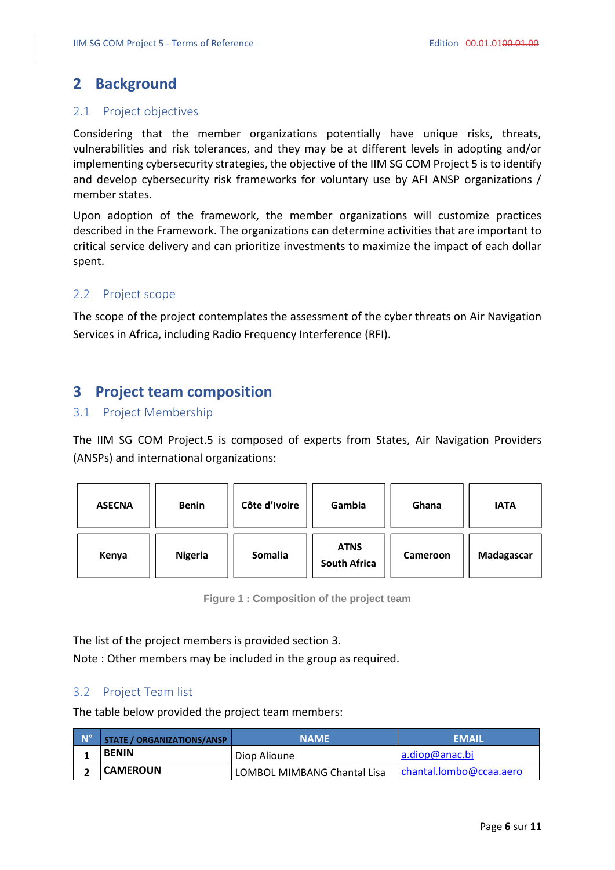## <span id="page-5-0"></span>**2 Background**

#### <span id="page-5-1"></span>2.1 Project objectives

Considering that the member organizations potentially have unique risks, threats, vulnerabilities and risk tolerances, and they may be at different levels in adopting and/or implementing cybersecurity strategies, the objective of the IIM SG COM Project 5 is to identify and develop cybersecurity risk frameworks for voluntary use by AFI ANSP organizations / member states.

Upon adoption of the framework, the member organizations will customize practices described in the Framework. The organizations can determine activities that are important to critical service delivery and can prioritize investments to maximize the impact of each dollar spent.

#### <span id="page-5-2"></span>2.2 Project scope

The scope of the project contemplates the assessment of the cyber threats on Air Navigation Services in Africa, including Radio Frequency Interference (RFI).

### <span id="page-5-3"></span>**3 Project team composition**

#### <span id="page-5-4"></span>3.1 Project Membership

The IIM SG COM Project.5 is composed of experts from States, Air Navigation Providers (ANSPs) and international organizations:

| <b>ASECNA</b> | <b>Benin</b>   | Côte d'Ivoire | Gambia                             | Ghana    | <b>IATA</b> |
|---------------|----------------|---------------|------------------------------------|----------|-------------|
| Kenya         | <b>Nigeria</b> | Somalia       | <b>ATNS</b><br><b>South Africa</b> | Cameroon | Madagascar  |

**Figure 1 : Composition of the project team**

The list of the project members is provided section [3.](#page-5-3)

Note : Other members may be included in the group as required.

#### <span id="page-5-5"></span>3.2 Project Team list

The table below provided the project team members:

| <b>N°</b> | STATE / ORGANIZATIONS/ANSP | <b>NAME</b>                 | <b>EMAIL</b>            |
|-----------|----------------------------|-----------------------------|-------------------------|
|           | <b>BENIN</b>               | Diop Alioune                | a.diop@anac.bj          |
|           | <b>CAMEROUN</b>            | LOMBOL MIMBANG Chantal Lisa | chantal.lombo@ccaa.aero |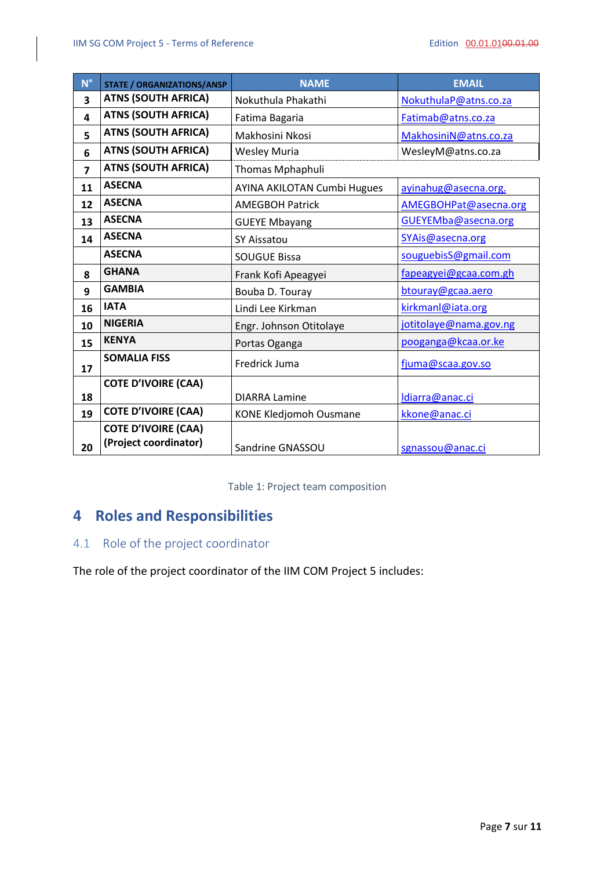| $N^{\circ}$    | <b>STATE / ORGANIZATIONS/ANSP</b>                   | <b>NAME</b>                        | <b>EMAIL</b>           |
|----------------|-----------------------------------------------------|------------------------------------|------------------------|
| 3              | <b>ATNS (SOUTH AFRICA)</b>                          | Nokuthula Phakathi                 | NokuthulaP@atns.co.za  |
| 4              | <b>ATNS (SOUTH AFRICA)</b>                          | Fatima Bagaria                     | Fatimab@atns.co.za     |
| 5              | <b>ATNS (SOUTH AFRICA)</b>                          | Makhosini Nkosi                    | MakhosiniN@atns.co.za  |
| 6              | <b>ATNS (SOUTH AFRICA)</b>                          | <b>Wesley Muria</b>                | WesleyM@atns.co.za     |
| $\overline{z}$ | <b>ATNS (SOUTH AFRICA)</b>                          | Thomas Mphaphuli                   |                        |
| 11             | <b>ASECNA</b>                                       | <b>AYINA AKILOTAN Cumbi Hugues</b> | ayinahug@asecna.org.   |
| 12             | <b>ASECNA</b>                                       | <b>AMEGBOH Patrick</b>             | AMEGBOHPat@asecna.org  |
| 13             | <b>ASECNA</b>                                       | <b>GUEYE Mbayang</b>               | GUEYEMba@asecna.org    |
| 14             | <b>ASECNA</b>                                       | <b>SY Aissatou</b>                 | SYAis@asecna.org       |
|                | <b>ASECNA</b>                                       | <b>SOUGUE Bissa</b>                | souguebisS@gmail.com   |
| 8              | <b>GHANA</b>                                        | Frank Kofi Apeagyei                | fapeagyei@gcaa.com.gh  |
| 9              | <b>GAMBIA</b>                                       | Bouba D. Touray                    | btouray@gcaa.aero      |
| 16             | <b>IATA</b>                                         | Lindi Lee Kirkman                  | kirkmanl@iata.org      |
| 10             | <b>NIGERIA</b>                                      | Engr. Johnson Otitolaye            | jotitolaye@nama.gov.ng |
| 15             | <b>KENYA</b>                                        | Portas Oganga                      | pooganga@kcaa.or.ke    |
| 17             | <b>SOMALIA FISS</b>                                 | Fredrick Juma                      | fjuma@scaa.gov.so      |
|                | <b>COTE D'IVOIRE (CAA)</b>                          |                                    |                        |
| 18             |                                                     | <b>DIARRA Lamine</b>               | Idiarra@anac.ci        |
| 19             | <b>COTE D'IVOIRE (CAA)</b>                          | <b>KONE Kledjomoh Ousmane</b>      | kkone@anac.ci          |
| 20             | <b>COTE D'IVOIRE (CAA)</b><br>(Project coordinator) | Sandrine GNASSOU                   | sgnassou@anac.ci       |

Table 1: Project team composition

## <span id="page-6-0"></span>**Roles and Responsibilities**

### <span id="page-6-1"></span>4.1 Role of the project coordinator

The role of the project coordinator of the IIM COM Project 5 includes: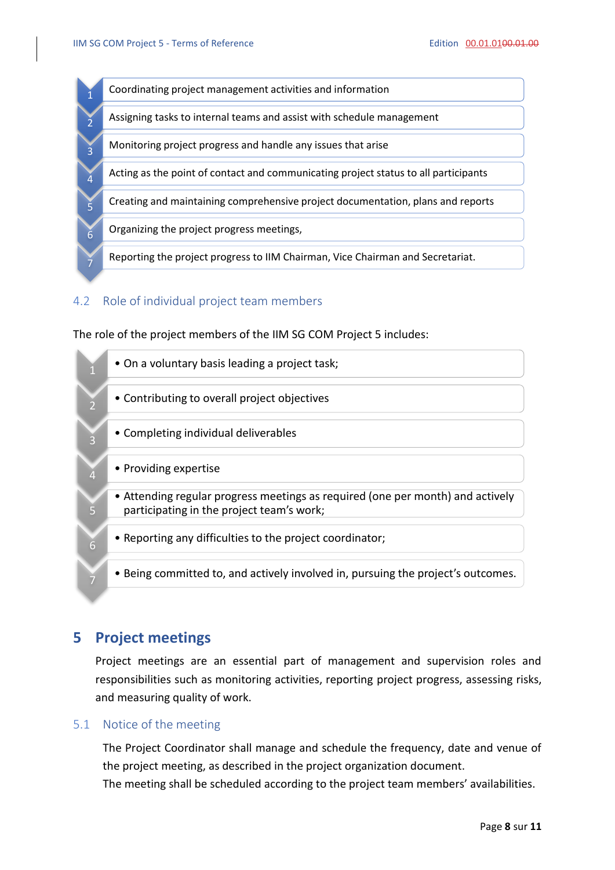

#### <span id="page-7-0"></span>4.2 Role of individual project team members

The role of the project members of the IIM SG COM Project 5 includes:



## <span id="page-7-1"></span>**5 Project meetings**

Project meetings are an essential part of management and supervision roles and responsibilities such as monitoring activities, reporting project progress, assessing risks, and measuring quality of work.

#### <span id="page-7-2"></span>5.1 Notice of the meeting

The Project Coordinator shall manage and schedule the frequency, date and venue of the project meeting, as described in the project organization document. The meeting shall be scheduled according to the project team members' availabilities.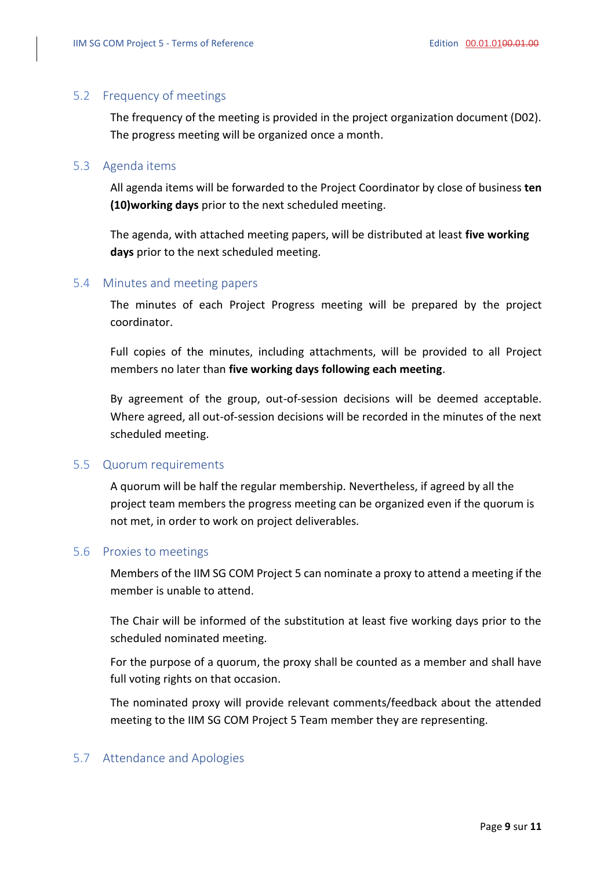#### <span id="page-8-0"></span>5.2 Frequency of meetings

The frequency of the meeting is provided in the project organization document (D02). The progress meeting will be organized once a month.

#### <span id="page-8-1"></span>5.3 Agenda items

All agenda items will be forwarded to the Project Coordinator by close of business **ten (10)working days** prior to the next scheduled meeting.

The agenda, with attached meeting papers, will be distributed at least **five working days** prior to the next scheduled meeting.

#### <span id="page-8-2"></span>5.4 Minutes and meeting papers

The minutes of each Project Progress meeting will be prepared by the project coordinator.

Full copies of the minutes, including attachments, will be provided to all Project members no later than **five working days following each meeting**.

By agreement of the group, out-of-session decisions will be deemed acceptable. Where agreed, all out-of-session decisions will be recorded in the minutes of the next scheduled meeting.

#### <span id="page-8-3"></span>5.5 Quorum requirements

A quorum will be half the regular membership. Nevertheless, if agreed by all the project team members the progress meeting can be organized even if the quorum is not met, in order to work on project deliverables.

#### <span id="page-8-4"></span>5.6 Proxies to meetings

Members of the IIM SG COM Project 5 can nominate a proxy to attend a meeting if the member is unable to attend.

The Chair will be informed of the substitution at least five working days prior to the scheduled nominated meeting.

For the purpose of a quorum, the proxy shall be counted as a member and shall have full voting rights on that occasion.

The nominated proxy will provide relevant comments/feedback about the attended meeting to the IIM SG COM Project 5 Team member they are representing.

#### <span id="page-8-5"></span>5.7 Attendance and Apologies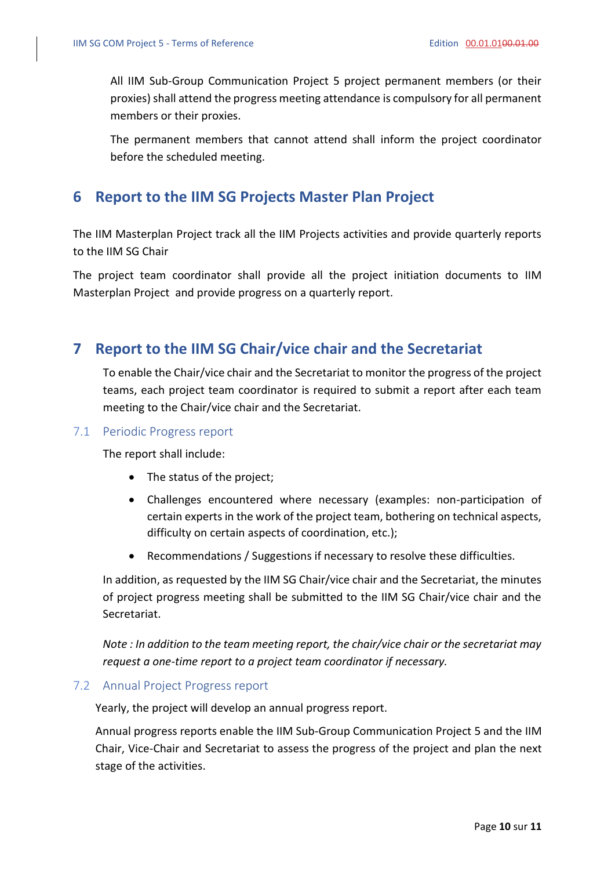All IIM Sub-Group Communication Project 5 project permanent members (or their proxies) shall attend the progress meeting attendance is compulsory for all permanent members or their proxies.

The permanent members that cannot attend shall inform the project coordinator before the scheduled meeting.

### <span id="page-9-0"></span>**6 Report to the IIM SG Projects Master Plan Project**

The IIM Masterplan Project track all the IIM Projects activities and provide quarterly reports to the IIM SG Chair

The project team coordinator shall provide all the project initiation documents to IIM Masterplan Project and provide progress on a quarterly report.

### <span id="page-9-1"></span>**7 Report to the IIM SG Chair/vice chair and the Secretariat**

To enable the Chair/vice chair and the Secretariat to monitor the progress of the project teams, each project team coordinator is required to submit a report after each team meeting to the Chair/vice chair and the Secretariat.

#### <span id="page-9-2"></span>7.1 Periodic Progress report

The report shall include:

- The status of the project;
- Challenges encountered where necessary (examples: non-participation of certain experts in the work of the project team, bothering on technical aspects, difficulty on certain aspects of coordination, etc.);
- Recommendations / Suggestions if necessary to resolve these difficulties.

In addition, as requested by the IIM SG Chair/vice chair and the Secretariat, the minutes of project progress meeting shall be submitted to the IIM SG Chair/vice chair and the Secretariat.

*Note : In addition to the team meeting report, the chair/vice chair or the secretariat may request a one-time report to a project team coordinator if necessary.* 

#### <span id="page-9-3"></span>7.2 Annual Project Progress report

Yearly, the project will develop an annual progress report.

Annual progress reports enable the IIM Sub-Group Communication Project 5 and the IIM Chair, Vice-Chair and Secretariat to assess the progress of the project and plan the next stage of the activities.